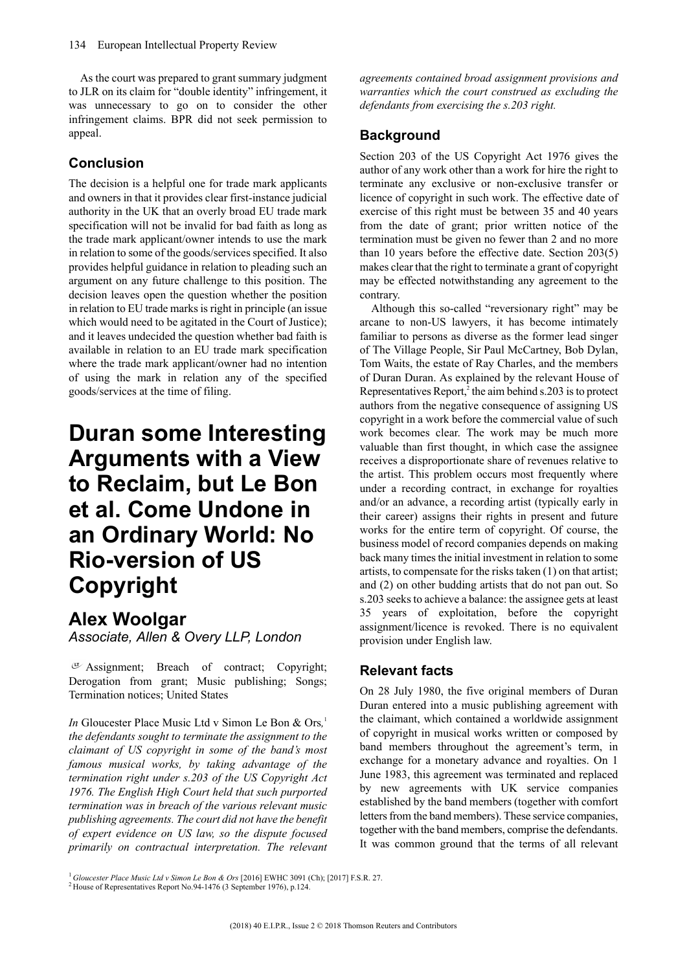As the court was prepared to grant summary judgment to JLR on its claim for "double identity" infringement, it was unnecessary to go on to consider the other infringement claims. BPR did not seek permission to appeal.

#### **Conclusion**

The decision is a helpful one for trade mark applicants and owners in that it provides clear first-instance judicial authority in the UK that an overly broad EU trade mark specification will not be invalid for bad faith as long as the trade mark applicant/owner intends to use the mark in relation to some of the goods/services specified. It also provides helpful guidance in relation to pleading such an argument on any future challenge to this position. The decision leaves open the question whether the position in relation to EU trade marks is right in principle (an issue which would need to be agitated in the Court of Justice); and it leaves undecided the question whether bad faith is available in relation to an EU trade mark specification where the trade mark applicant/owner had no intention of using the mark in relation any of the specified goods/services at the time of filing.

# **Duran some Interesting Arguments with a View to Reclaim, but Le Bon et al. Come Undone in an Ordinary World: No Rio-version of US Copyright**

### **Alex Woolgar**

*Associate, Allen & Overy LLP, London*

Assignment; Breach of contract; Copyright; Derogation from grant; Music publishing; Songs; Termination notices; United States

*In* Gloucester Place Music Ltd v Simon Le Bon & Ors*,* 1 *the defendants sought to terminate the assignment to the claimant of US copyright in some of the band's most famous musical works, by taking advantage of the termination right under s.203 of the US Copyright Act 1976. The English High Court held that such purported termination was in breach of the various relevant music publishing agreements.The court did not have the benefit of expert evidence on US law, so the dispute focused primarily on contractual interpretation. The relevant* *agreements contained broad assignment provisions and warranties which the court construed as excluding the defendants from exercising the s.203 right.*

### **Background**

Section 203 of the US Copyright Act 1976 gives the author of any work other than a work for hire the right to terminate any exclusive or non-exclusive transfer or licence of copyright in such work. The effective date of exercise of this right must be between 35 and 40 years from the date of grant; prior written notice of the termination must be given no fewer than 2 and no more than 10 years before the effective date. Section 203(5) makes clear that the right to terminate a grant of copyright may be effected notwithstanding any agreement to the contrary.

Although this so-called "reversionary right" may be arcane to non-US lawyers, it has become intimately familiar to persons as diverse as the former lead singer of The Village People, Sir Paul McCartney, Bob Dylan, Tom Waits, the estate of Ray Charles, and the members of Duran Duran. As explained by the relevant House of Representatives Report,<sup>2</sup> the aim behind s.203 is to protect authors from the negative consequence of assigning US copyright in a work before the commercial value of such work becomes clear. The work may be much more valuable than first thought, in which case the assignee receives a disproportionate share of revenues relative to the artist. This problem occurs most frequently where under a recording contract, in exchange for royalties and/or an advance, a recording artist (typically early in their career) assigns their rights in present and future works for the entire term of copyright. Of course, the business model of record companies depends on making back many times the initial investment in relation to some artists, to compensate for the risks taken  $(1)$  on that artist; and (2) on other budding artists that do not pan out. So s.203 seeks to achieve a balance: the assignee gets at least 35 years of exploitation, before the copyright assignment/licence is revoked. There is no equivalent provision under English law.

#### **Relevant facts**

On 28 July 1980, the five original members of Duran Duran entered into a music publishing agreement with the claimant, which contained a worldwide assignment of copyright in musical works written or composed by band members throughout the agreement's term, in exchange for a monetary advance and royalties. On 1 June 1983, this agreement was terminated and replaced by new agreements with UK service companies established by the band members (together with comfort letters from the band members). These service companies, together with the band members, comprise the defendants. It was common ground that the terms of all relevant

<sup>1</sup> *Gloucester Place Music Ltd v Simon Le Bon & Ors* [2016] EWHC 3091 (Ch); [2017] F.S.R. 27.

<sup>2</sup> House of Representatives Report No.94-1476 (3 September 1976), p.124.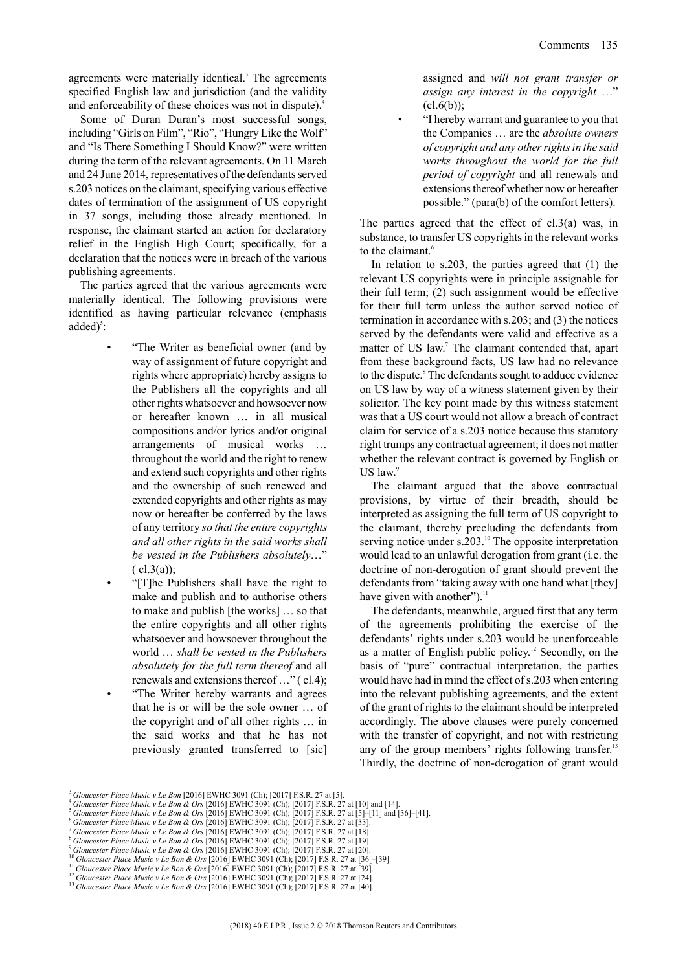agreements were materially identical.<sup>3</sup> The agreements specified English law and jurisdiction (and the validity and enforceability of these choices was not in dispute).<sup>4</sup>

Some of Duran Duran's most successful songs, including "Girls on Film", "Rio", "Hungry Like the Wolf" and "Is There Something I Should Know?" were written during the term of the relevant agreements. On 11 March and 24 June 2014, representatives of the defendants served s.203 notices on the claimant, specifying various effective dates of termination of the assignment of US copyright in 37 songs, including those already mentioned. In response, the claimant started an action for declaratory relief in the English High Court; specifically, for a declaration that the notices were in breach of the various publishing agreements.

The parties agreed that the various agreements were materially identical. The following provisions were identified as having particular relevance (emphasis  $added)^5$ :

- "The Writer as beneficial owner (and by way of assignment of future copyright and rights where appropriate) hereby assigns to the Publishers all the copyrights and all other rights whatsoever and howsoever now or hereafter known … in all musical compositions and/or lyrics and/or original arrangements of musical works … throughout the world and the right to renew and extend such copyrights and other rights and the ownership of such renewed and extended copyrights and other rights as may now or hereafter be conferred by the laws of any territory *so that the entire copyrights and all other rights in the said works shall be vested in the Publishers absolutely*…"  $(c1.3(a))$ ;
	- "[T]he Publishers shall have the right to make and publish and to authorise others to make and publish [the works] … so that the entire copyrights and all other rights whatsoever and howsoever throughout the world … *shall be vested in the Publishers absolutely for the full term thereof* and all renewals and extensions thereof  $\ldots$ " ( cl.4); • "The Writer hereby warrants and agrees that he is or will be the sole owner … of the copyright and of all other rights … in the said works and that he has not previously granted transferred to [sic]

assigned and *will not grant transfer or assign any interest in the copyright* …"  $(cl.6(b))$ ;

• "I hereby warrant and guarantee to you that the Companies … are the *absolute owners of copyright and any otherrightsin the said works throughout the world for the full period of copyright* and all renewals and extensions thereof whether now or hereafter possible." (para(b) of the comfort letters).

The parties agreed that the effect of  $cl.3(a)$  was, in substance, to transfer US copyrights in the relevant works to the claimant.<sup>6</sup>

In relation to s.203, the parties agreed that (1) the relevant US copyrights were in principle assignable for their full term; (2) such assignment would be effective for their full term unless the author served notice of termination in accordance with s.203; and (3) the notices served by the defendants were valid and effective as a matter of US law. <sup>7</sup> The claimant contended that, apart from these background facts, US law had no relevance to the dispute.<sup>8</sup> The defendants sought to adduce evidence on US law by way of a witness statement given by their solicitor. The key point made by this witness statement was that a US court would not allow a breach of contract claim for service of a s.203 notice because this statutory right trumps any contractual agreement; it does not matter whether the relevant contract is governed by English or US law. $\degree$ 

The claimant argued that the above contractual provisions, by virtue of their breadth, should be interpreted as assigning the full term of US copyright to the claimant, thereby precluding the defendants from serving notice under s.203.<sup>10</sup> The opposite interpretation would lead to an unlawful derogation from grant (i.e. the doctrine of non-derogation of grant should prevent the defendants from "taking away with one hand what [they] have given with another"). $<sup>11</sup>$ </sup>

The defendants, meanwhile, argued first that any term of the agreements prohibiting the exercise of the defendants' rights under s.203 would be unenforceable as a matter of English public policy. <sup>12</sup> Secondly, on the basis of "pure" contractual interpretation, the parties would have had in mind the effect of s.203 when entering into the relevant publishing agreements, and the extent of the grant of rights to the claimant should be interpreted accordingly. The above clauses were purely concerned with the transfer of copyright, and not with restricting any of the group members' rights following transfer.<sup>13</sup> Thirdly, the doctrine of non-derogation of grant would

<sup>3</sup> *Gloucester Place Music v Le Bon* [2016] EWHC 3091 (Ch); [2017] F.S.R. 27 at [5].

<sup>4</sup> *Gloucester Place Music v Le Bon & Ors* [2016] EWHC 3091 (Ch); [2017] F.S.R. 27 at [10] and [14]. <sup>5</sup> *Gloucester Place Music v Le Bon & Ors* [2016] EWHC 3091 (Ch); [2017] F.S.R. 27 at [5]–[11] and [36]–[41].

<sup>6</sup> *Gloucester Place Music v Le Bon & Ors* [2016] EWHC 3091 (Ch); [2017] F.S.R. 27 at [33].

<sup>7</sup> *Gloucester Place Music v Le Bon & Ors* [2016] EWHC 3091 (Ch); [2017] F.S.R. 27 at [18].

<sup>8</sup> *Gloucester Place Music v Le Bon & Ors* [2016] EWHC 3091 (Ch); [2017] F.S.R. 27 at [19].

<sup>9</sup> *Gloucester Place Music v Le Bon & Ors* [2016] EWHC 3091 (Ch); [2017] F.S.R. 27 at [20].

<sup>10</sup> *Gloucester Place Music v Le Bon & Ors* [2016] EWHC 3091 (Ch); [2017] F.S.R. 27 at [36[–[39].

<sup>11</sup> *Gloucester Place Music v Le Bon & Ors* [2016] EWHC 3091 (Ch); [2017] F.S.R. 27 at [39].

<sup>12</sup> *Gloucester Place Music v Le Bon & Ors* [2016] EWHC 3091 (Ch); [2017] F.S.R. 27 at [24].

<sup>13</sup> *Gloucester Place Music v Le Bon & Ors* [2016] EWHC 3091 (Ch); [2017] F.S.R. 27 at [40].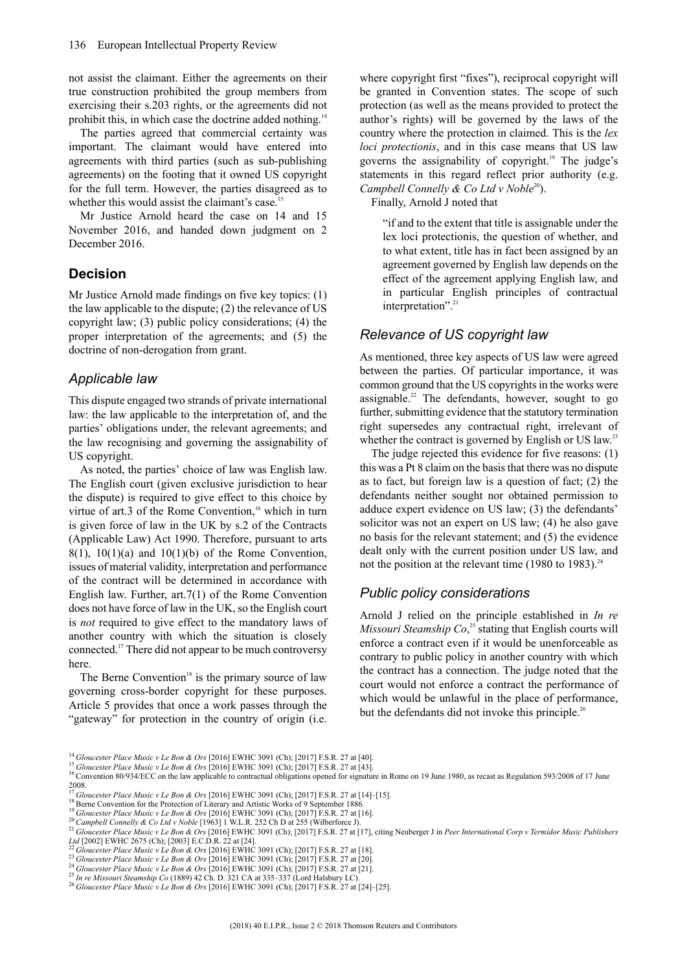not assist the claimant. Either the agreements on their true construction prohibited the group members from exercising their s.203 rights, or the agreements did not prohibit this, in which case the doctrine added nothing.<sup>14</sup>

The parties agreed that commercial certainty was important. The claimant would have entered into agreements with third parties (such as sub-publishing agreements) on the footing that it owned US copyright for the full term. However, the parties disagreed as to whether this would assist the claimant's case.<sup>15</sup>

Mr Justice Arnold heard the case on 14 and 15 November 2016, and handed down judgment on 2 December 2016.

#### **Decision**

Mr Justice Arnold made findings on five key topics: (1) the law applicable to the dispute; (2) the relevance of US copyright law; (3) public policy considerations; (4) the proper interpretation of the agreements; and (5) the doctrine of non-derogation from grant.

#### *Applicable law*

This dispute engaged two strands of private international law: the law applicable to the interpretation of, and the parties' obligations under, the relevant agreements; and the law recognising and governing the assignability of US copyright.

As noted, the parties' choice of law was English law. The English court (given exclusive jurisdiction to hear the dispute) is required to give effect to this choice by virtue of art.3 of the Rome Convention,<sup>16</sup> which in turn is given force of law in the UK by s.2 of the Contracts (Applicable Law) Act 1990. Therefore, pursuant to arts  $8(1)$ ,  $10(1)(a)$  and  $10(1)(b)$  of the Rome Convention, issues of material validity, interpretation and performance of the contract will be determined in accordance with English law. Further, art.7(1) of the Rome Convention does not have force of law in the UK, so the English court is *not* required to give effect to the mandatory laws of another country with which the situation is closely connected.<sup>17</sup> There did not appear to be much controversy here.

The Berne Convention<sup>18</sup> is the primary source of law governing cross-border copyright for these purposes. Article 5 provides that once a work passes through the "gateway" for protection in the country of origin (i.e. where copyright first "fixes"), reciprocal copyright will be granted in Convention states. The scope of such protection (as well as the means provided to protect the author's rights) will be governed by the laws of the country where the protection in claimed. This is the *lex loci protectionis*, and in this case means that US law governs the assignability of copyright.<sup>19</sup> The judge's statements in this regard reflect prior authority (e.g. *Campbell Connelly & Co Ltd v Noble*<sup>20</sup>).

Finally, Arnold J noted that

"if and to the extent that title is assignable under the lex loci protectionis, the question of whether, and to what extent, title has in fact been assigned by an agreement governed by English law depends on the effect of the agreement applying English law, and in particular English principles of contractual interpretation".<sup>21</sup>

#### *Relevance of US copyright law*

As mentioned, three key aspects of US law were agreed between the parties. Of particular importance, it was common ground that the US copyrights in the works were assignable.<sup>22</sup> The defendants, however, sought to go further, submitting evidence that the statutory termination right supersedes any contractual right, irrelevant of whether the contract is governed by English or US law.<sup>23</sup>

The judge rejected this evidence for five reasons: (1) this was a Pt 8 claim on the basis that there was no dispute as to fact, but foreign law is a question of fact; (2) the defendants neither sought nor obtained permission to adduce expert evidence on US law; (3) the defendants' solicitor was not an expert on US law; (4) he also gave no basis for the relevant statement; and (5) the evidence dealt only with the current position under US law, and not the position at the relevant time (1980 to 1983).<sup>24</sup>

#### *Public policy considerations*

Arnold J relied on the principle established in *In re Missouri Steamship Co*, <sup>25</sup> stating that English courts will enforce a contract even if it would be unenforceable as contrary to public policy in another country with which the contract has a connection. The judge noted that the court would not enforce a contract the performance of which would be unlawful in the place of performance, but the defendants did not invoke this principle.<sup>26</sup>

<sup>14</sup> *Gloucester Place Music v Le Bon & Ors* [2016] EWHC 3091 (Ch); [2017] F.S.R. 27 at [40]. <sup>15</sup> *Gloucester Place Music v Le Bon & Ors* [2016] EWHC 3091 (Ch); [2017] F.S.R. 27 at [43].

 $16$  Convention 80/934/ECC on the law applicable to contractual obligations opened for signature in Rome on 19 June 1980, as recast as Regulation 593/2008 of 17 June 1980, as recast as Regulation 593/2008 of 17 June  $^{2008}_{17}$ .

<sup>17</sup> *Gloucester Place Music v Le Bon & Ors* [2016] EWHC 3091 (Ch); [2017] F.S.R. 27 at [14]–[15].

<sup>&</sup>lt;sup>18</sup> Berne Convention for the Protection of Literary and Artistic Works of 9 September 1886.

<sup>19</sup> *Gloucester Place Music v Le Bon & Ors* [2016] EWHC 3091 (Ch); [2017] F.S.R. 27 at [16].

<sup>20</sup> *Campbell Connelly & Co Ltd v Noble* [1963] 1 W.L.R. 252 Ch D at 255 (Wilberforce J).

<sup>&</sup>lt;sup>21</sup> Gloucester Place Music v Le Bon & Ors [2016] EWHC 3091 (Ch); [2017] F.S.R. 27 at [17], citing Neuberger J in Peer International Corp v Termidor Music Publishers *Ltd* [2002] EWHC 2675 (Ch); [2003] E.C.D.R. 22 at [24].

<sup>22</sup> *Gloucester Place Music v Le Bon & Ors* [2016] EWHC 3091 (Ch); [2017] F.S.R. 27 at [18].

<sup>23</sup> *Gloucester Place Music v Le Bon & Ors* [2016] EWHC 3091 (Ch); [2017] F.S.R. 27 at [20]. <sup>24</sup> *Gloucester Place Music v Le Bon & Ors* [2016] EWHC 3091 (Ch); [2017] F.S.R. 27 at [21].

<sup>25</sup> *In re Missouri Steamship Co* (1889) 42 Ch. D. 321 CA at 335–337 (Lord Halsbury LC).

<sup>26</sup> *Gloucester Place Music v Le Bon & Ors* [2016] EWHC 3091 (Ch); [2017] F.S.R. 27 at [24]–[25].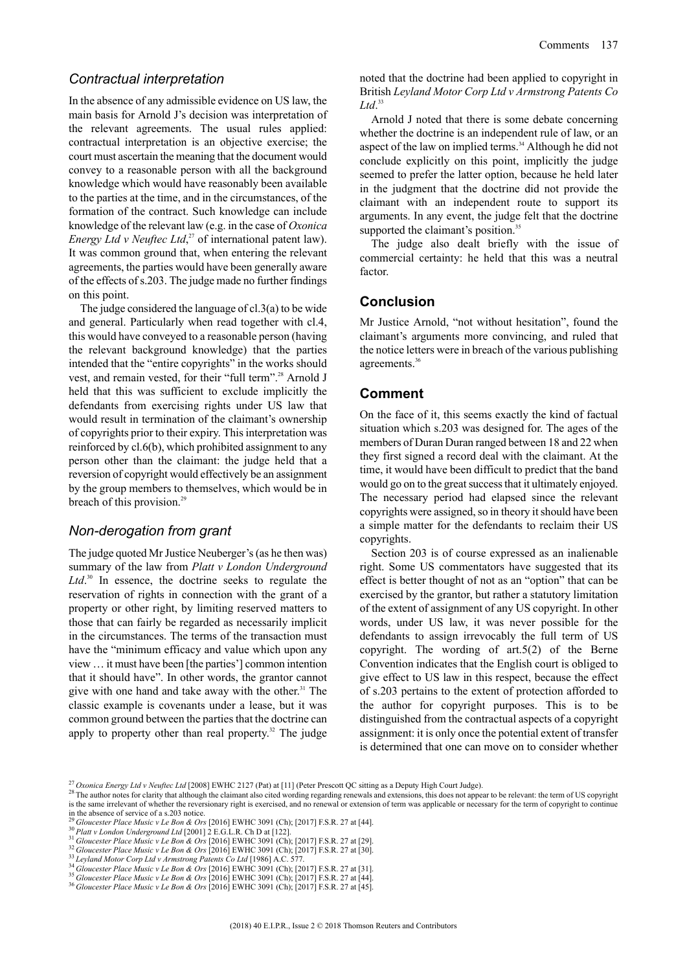#### *Contractual interpretation*

In the absence of any admissible evidence on US law, the main basis for Arnold J's decision was interpretation of the relevant agreements. The usual rules applied: contractual interpretation is an objective exercise; the court must ascertain the meaning that the document would convey to a reasonable person with all the background knowledge which would have reasonably been available to the parties at the time, and in the circumstances, of the formation of the contract. Such knowledge can include knowledge of the relevant law (e.g. in the case of *Oxonica Energy Ltd v Neuftec Ltd*, <sup>27</sup> of international patent law). It was common ground that, when entering the relevant agreements, the parties would have been generally aware of the effects ofs.203. The judge made no further findings on this point.

The judge considered the language of cl.3(a) to be wide and general. Particularly when read together with cl.4, this would have conveyed to a reasonable person (having the relevant background knowledge) that the parties intended that the "entire copyrights" in the works should vest, and remain vested, for their "full term".<sup>28</sup> Arnold J held that this was sufficient to exclude implicitly the defendants from exercising rights under US law that would result in termination of the claimant's ownership of copyrights prior to their expiry. Thisinterpretation was reinforced by cl.6(b), which prohibited assignment to any person other than the claimant: the judge held that a reversion of copyright would effectively be an assignment by the group members to themselves, which would be in breach of this provision.<sup>29</sup>

#### *Non-derogation from grant*

The judge quoted Mr Justice Neuberger's (as he then was) summary of the law from *Platt v London Underground* Ltd.<sup>30</sup> In essence, the doctrine seeks to regulate the reservation of rights in connection with the grant of a property or other right, by limiting reserved matters to those that can fairly be regarded as necessarily implicit in the circumstances. The terms of the transaction must have the "minimum efficacy and value which upon any view … it must have been [the parties'] common intention that it should have". In other words, the grantor cannot give with one hand and take away with the other. <sup>31</sup> The classic example is covenants under a lease, but it was common ground between the parties that the doctrine can apply to property other than real property.<sup>32</sup> The judge

noted that the doctrine had been applied to copyright in British *Leyland Motor Corp Ltd v Armstrong Patents Co Ltd*. 33

Arnold J noted that there is some debate concerning whether the doctrine is an independent rule of law, or an aspect of the law on implied terms.<sup>34</sup> Although he did not conclude explicitly on this point, implicitly the judge seemed to prefer the latter option, because he held later in the judgment that the doctrine did not provide the claimant with an independent route to support its arguments. In any event, the judge felt that the doctrine supported the claimant's position.<sup>35</sup>

The judge also dealt briefly with the issue of commercial certainty: he held that this was a neutral factor.

#### **Conclusion**

Mr Justice Arnold, "not without hesitation", found the claimant's arguments more convincing, and ruled that the notice letters were in breach of the various publishing agreements.<sup>36</sup>

#### **Comment**

On the face of it, this seems exactly the kind of factual situation which s.203 was designed for. The ages of the members of Duran Duran ranged between 18 and 22 when they first signed a record deal with the claimant. At the time, it would have been difficult to predict that the band would go on to the great success that it ultimately enjoyed. The necessary period had elapsed since the relevant copyrights were assigned, so in theory it should have been a simple matter for the defendants to reclaim their US copyrights.

Section 203 is of course expressed as an inalienable right. Some US commentators have suggested that its effect is better thought of not as an "option" that can be exercised by the grantor, but rather a statutory limitation of the extent of assignment of any US copyright. In other words, under US law, it was never possible for the defendants to assign irrevocably the full term of US copyright. The wording of art.5(2) of the Berne Convention indicates that the English court is obliged to give effect to US law in this respect, because the effect of s.203 pertains to the extent of protection afforded to the author for copyright purposes. This is to be distinguished from the contractual aspects of a copyright assignment: it is only once the potential extent of transfer is determined that one can move on to consider whether

<sup>27</sup> *Oxonica Energy Ltd v Neuftec Ltd* [2008] EWHC 2127 (Pat) at [11] (Peter Prescott QC sitting as a Deputy High Court Judge).

<sup>28</sup> The author notes for clarity that although the claimant also cited wording regarding renewals and extensions, this does not appear to be relevant: the term of US copyright is the same irrelevant of whether the reversionary right is exercised, and no renewal or extension of term was applicable or necessary for the term of copyright to continue in the absence of service of a s.203 notice.

<sup>29</sup> *Gloucester Place Music v Le Bon & Ors* [2016] EWHC 3091 (Ch); [2017] F.S.R. 27 at [44].

<sup>30</sup> *Platt v London Underground Ltd* [2001] 2 E.G.L.R. Ch D at [122].

<sup>31</sup> *Gloucester Place Music v Le Bon & Ors* [2016] EWHC 3091 (Ch); [2017] F.S.R. 27 at [29].

<sup>32</sup> *Gloucester Place Music v Le Bon & Ors* [2016] EWHC 3091 (Ch); [2017] F.S.R. 27 at [30].

<sup>33</sup> *Leyland Motor Corp Ltd v Armstrong Patents Co Ltd* [1986] A.C. 577.

<sup>34</sup> *Gloucester Place Music v Le Bon & Ors* [2016] EWHC 3091 (Ch); [2017] F.S.R. 27 at [31].

<sup>35</sup> *Gloucester Place Music v Le Bon & Ors* [2016] EWHC 3091 (Ch); [2017] F.S.R. 27 at [44].

<sup>36</sup> *Gloucester Place Music v Le Bon & Ors* [2016] EWHC 3091 (Ch); [2017] F.S.R. 27 at [45].